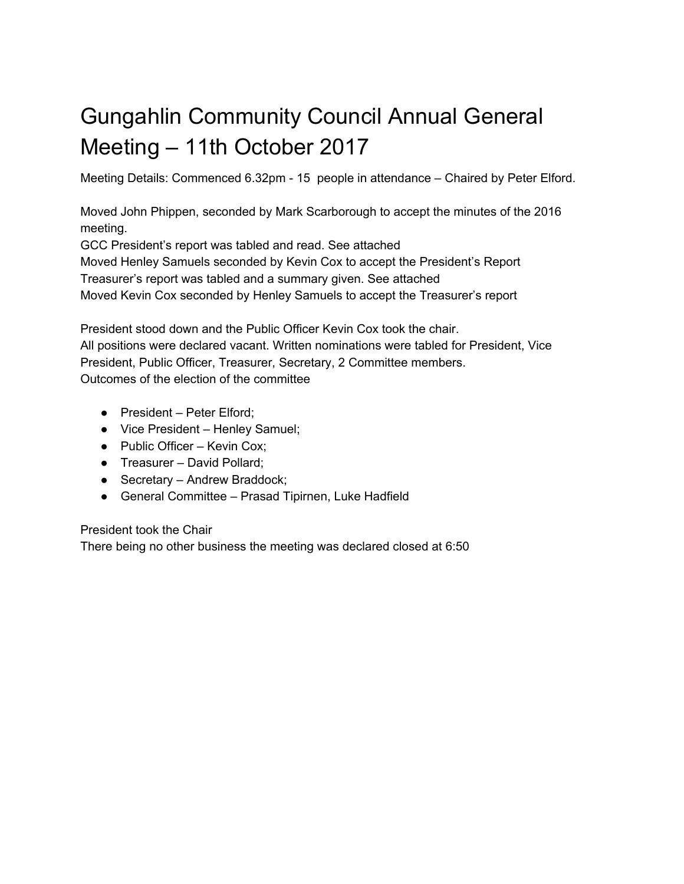# Gungahlin Community Council Annual General Meeting – 11th October 2017

Meeting Details: Commenced 6.32pm - 15 people in attendance – Chaired by Peter Elford.

Moved John Phippen, seconded by Mark Scarborough to accept the minutes of the 2016 meeting.

GCC President's report was tabled and read. See attached Moved Henley Samuels seconded by Kevin Cox to accept the President's Report Treasurer's report was tabled and a summary given. See attached Moved Kevin Cox seconded by Henley Samuels to accept the Treasurer's report

President stood down and the Public Officer Kevin Cox took the chair. All positions were declared vacant. Written nominations were tabled for President, Vice President, Public Officer, Treasurer, Secretary, 2 Committee members. Outcomes of the election of the committee

- President Peter Elford:
- Vice President Henley Samuel;
- Public Officer Kevin Cox;
- Treasurer David Pollard:
- Secretary Andrew Braddock;
- General Committee Prasad Tipirnen, Luke Hadfield

### President took the Chair

There being no other business the meeting was declared closed at 6:50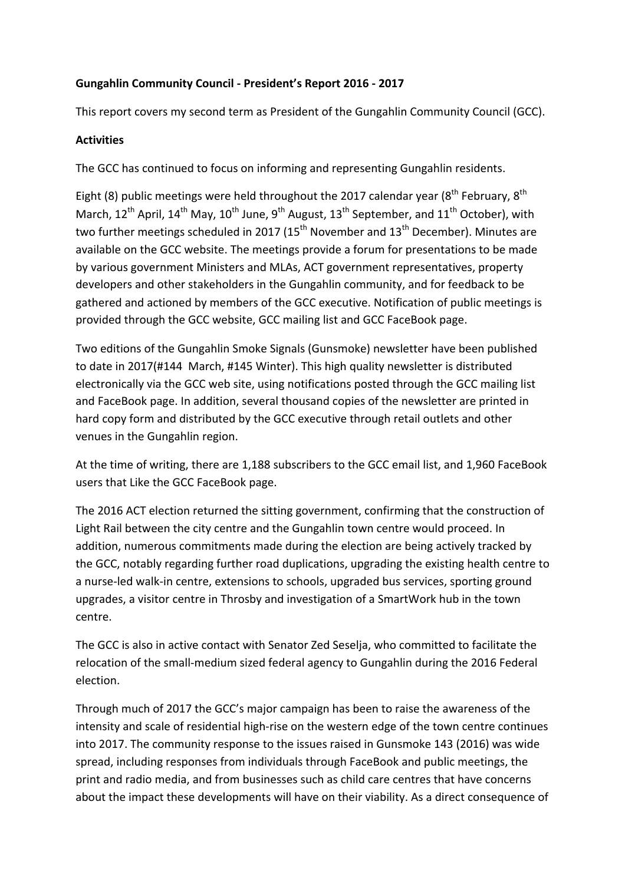## **Gungahlin Community Council - President's Report 2016 - 2017**

This report covers my second term as President of the Gungahlin Community Council (GCC).

### **Activities**

The GCC has continued to focus on informing and representing Gungahlin residents.

Eight (8) public meetings were held throughout the 2017 calendar year ( $8<sup>th</sup>$  February,  $8<sup>th</sup>$ March,  $12^{th}$  April,  $14^{th}$  May,  $10^{th}$  June,  $9^{th}$  August,  $13^{th}$  September, and  $11^{th}$  October), with two further meetings scheduled in 2017 (15<sup>th</sup> November and 13<sup>th</sup> December). Minutes are available on the GCC website. The meetings provide a forum for presentations to be made by various government Ministers and MLAs, ACT government representatives, property developers and other stakeholders in the Gungahlin community, and for feedback to be gathered and actioned by members of the GCC executive. Notification of public meetings is provided through the GCC website, GCC mailing list and GCC FaceBook page.

Two editions of the Gungahlin Smoke Signals (Gunsmoke) newsletter have been published to date in 2017(#144 March, #145 Winter). This high quality newsletter is distributed electronically via the GCC web site, using notifications posted through the GCC mailing list and FaceBook page. In addition, several thousand copies of the newsletter are printed in hard copy form and distributed by the GCC executive through retail outlets and other venues in the Gungahlin region.

At the time of writing, there are 1,188 subscribers to the GCC email list, and 1,960 FaceBook users that Like the GCC FaceBook page.

The 2016 ACT election returned the sitting government, confirming that the construction of Light Rail between the city centre and the Gungahlin town centre would proceed. In addition, numerous commitments made during the election are being actively tracked by the GCC, notably regarding further road duplications, upgrading the existing health centre to a nurse-led walk-in centre, extensions to schools, upgraded bus services, sporting ground upgrades, a visitor centre in Throsby and investigation of a SmartWork hub in the town centre.

The GCC is also in active contact with Senator Zed Seselja, who committed to facilitate the relocation of the small-medium sized federal agency to Gungahlin during the 2016 Federal election.

Through much of 2017 the GCC's major campaign has been to raise the awareness of the intensity and scale of residential high-rise on the western edge of the town centre continues into 2017. The community response to the issues raised in Gunsmoke 143 (2016) was wide spread, including responses from individuals through FaceBook and public meetings, the print and radio media, and from businesses such as child care centres that have concerns about the impact these developments will have on their viability. As a direct consequence of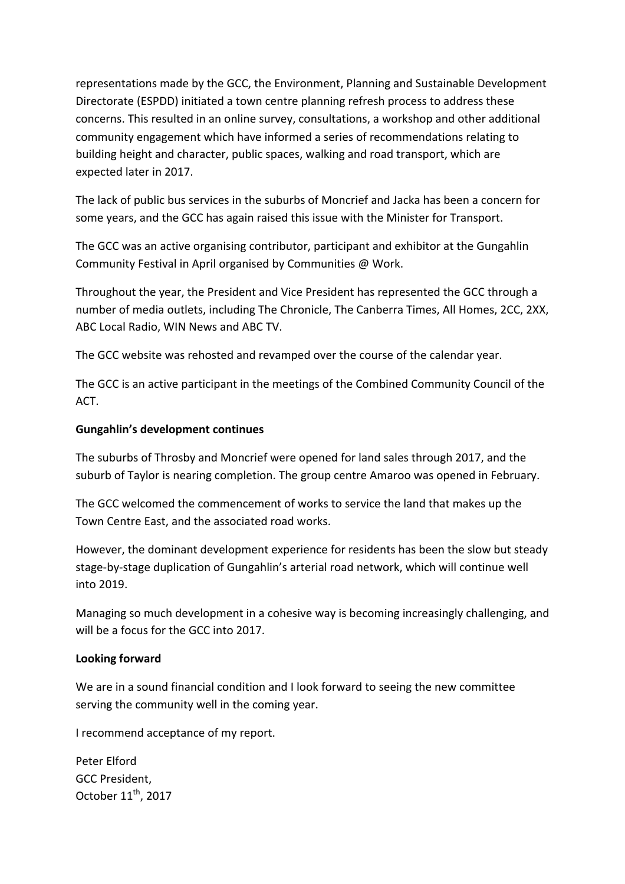representations made by the GCC, the Environment, Planning and Sustainable Development Directorate (ESPDD) initiated a town centre planning refresh process to address these concerns. This resulted in an online survey, consultations, a workshop and other additional community engagement which have informed a series of recommendations relating to building height and character, public spaces, walking and road transport, which are expected later in 2017.

The lack of public bus services in the suburbs of Moncrief and Jacka has been a concern for some years, and the GCC has again raised this issue with the Minister for Transport.

The GCC was an active organising contributor, participant and exhibitor at the Gungahlin Community Festival in April organised by Communities @ Work.

Throughout the year, the President and Vice President has represented the GCC through a number of media outlets, including The Chronicle, The Canberra Times, All Homes, 2CC, 2XX, ABC Local Radio, WIN News and ABC TV.

The GCC website was rehosted and revamped over the course of the calendar year.

The GCC is an active participant in the meetings of the Combined Community Council of the ACT.

### **Gungahlin's development continues**

The suburbs of Throsby and Moncrief were opened for land sales through 2017, and the suburb of Taylor is nearing completion. The group centre Amaroo was opened in February.

The GCC welcomed the commencement of works to service the land that makes up the Town Centre East, and the associated road works.

However, the dominant development experience for residents has been the slow but steady stage-by-stage duplication of Gungahlin's arterial road network, which will continue well into 2019.

Managing so much development in a cohesive way is becoming increasingly challenging, and will be a focus for the GCC into 2017.

### Looking forward

We are in a sound financial condition and I look forward to seeing the new committee serving the community well in the coming year.

I recommend acceptance of my report.

Peter Elford GCC President, October 11<sup>th</sup>, 2017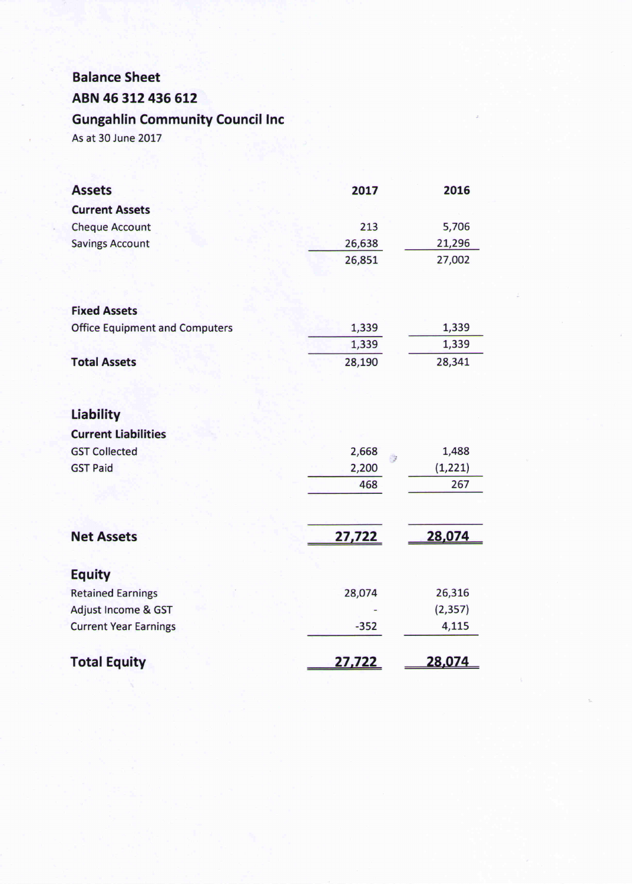## **Balance Sheet** ABN 46 312 436 612

# **Gungahlin Community Council Inc**

As at 30 June 2017

| <b>Assets</b>                         | 2017          | 2016          |
|---------------------------------------|---------------|---------------|
| <b>Current Assets</b>                 |               |               |
| <b>Cheque Account</b>                 | 213           | 5,706         |
| <b>Savings Account</b>                | 26,638        | 21,296        |
|                                       | 26,851        | 27,002        |
|                                       |               |               |
| <b>Fixed Assets</b>                   |               |               |
| <b>Office Equipment and Computers</b> | 1,339         | 1,339         |
|                                       | 1,339         | 1,339         |
| <b>Total Assets</b>                   | 28,190        | 28,341        |
|                                       |               |               |
| Liability                             |               |               |
| <b>Current Liabilities</b>            |               |               |
| <b>GST Collected</b>                  | 2,668<br>ंद्र | 1,488         |
| <b>GST Paid</b>                       | 2,200         | (1, 221)      |
|                                       | 468           | 267           |
|                                       |               |               |
| <b>Net Assets</b>                     | 27,722        | 28,074        |
| <b>Equity</b>                         |               |               |
| <b>Retained Earnings</b>              | 28,074        | 26,316        |
| Adjust Income & GST                   |               | (2, 357)      |
| <b>Current Year Earnings</b>          | $-352$        | 4,115         |
| <b>Total Equity</b>                   | <u>27,722</u> | <u>28,074</u> |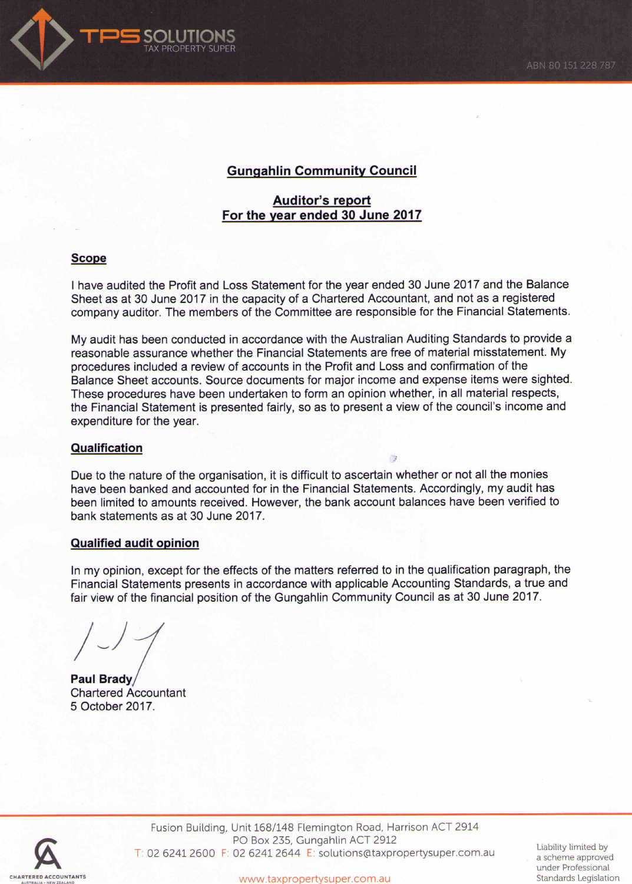

## **Gungahlin Community Council**

### **Auditor's report** For the year ended 30 June 2017

#### **Scope**

I have audited the Profit and Loss Statement for the year ended 30 June 2017 and the Balance Sheet as at 30 June 2017 in the capacity of a Chartered Accountant, and not as a registered company auditor. The members of the Committee are responsible for the Financial Statements.

My audit has been conducted in accordance with the Australian Auditing Standards to provide a reasonable assurance whether the Financial Statements are free of material misstatement. My procedures included a review of accounts in the Profit and Loss and confirmation of the Balance Sheet accounts. Source documents for major income and expense items were sighted. These procedures have been undertaken to form an opinion whether, in all material respects, the Financial Statement is presented fairly, so as to present a view of the council's income and expenditure for the year.

#### **Qualification**

Due to the nature of the organisation, it is difficult to ascertain whether or not all the monies have been banked and accounted for in the Financial Statements. Accordingly, my audit has been limited to amounts received. However, the bank account balances have been verified to bank statements as at 30 June 2017.

 $\frac{1}{2}$ 

#### **Qualified audit opinion**

In my opinion, except for the effects of the matters referred to in the qualification paragraph, the Financial Statements presents in accordance with applicable Accounting Standards, a true and fair view of the financial position of the Gungahlin Community Council as at 30 June 2017.

Paul Brady **Chartered Accountant** 5 October 2017.



Fusion Building, Unit 168/148 Flemington Road, Harrison ACT 2914 PO Box 235, Gungahlin ACT 2912 T: 02 6241 2600 F: 02 6241 2644 E: solutions@taxpropertysuper.com.au

Liability limited by a scheme approved under Professional Standards Legislation